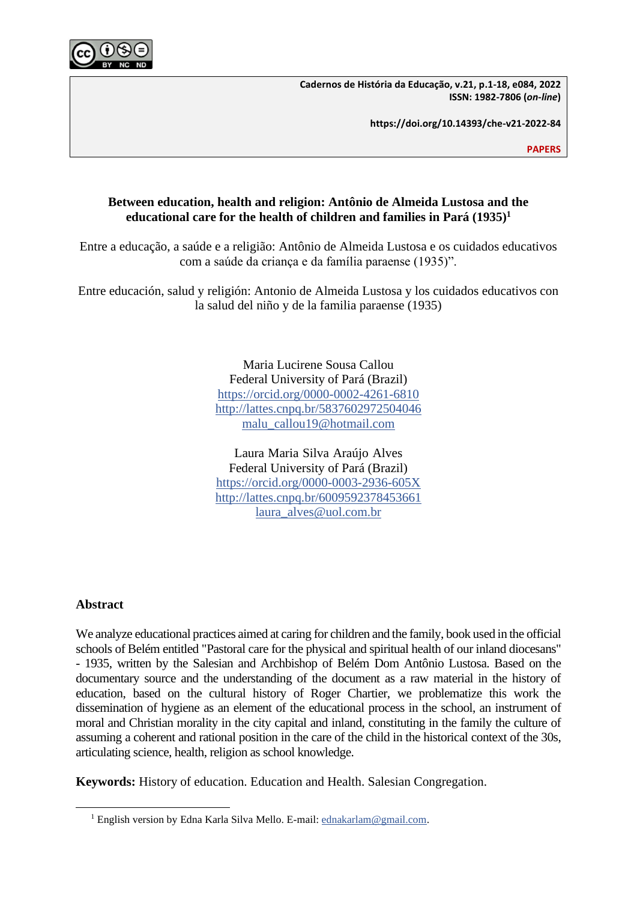

**Cadernos de História da Educação, v.21, p.1-18, e084, 2022 ISSN: 1982-7806 (***on-line***)**

**https://doi.org/10.14393/che-v21-2022-84**

**PAPERS**

# **Between education, health and religion: Antônio de Almeida Lustosa and the educational care for the health of children and families in Pará (1935) 1**

Entre a educação, a saúde e a religião: Antônio de Almeida Lustosa e os cuidados educativos com a saúde da criança e da família paraense (1935)".

Entre educación, salud y religión: Antonio de Almeida Lustosa y los cuidados educativos con la salud del niño y de la familia paraense (1935)

> Maria Lucirene Sousa Callou Federal University of Pará (Brazil) <https://orcid.org/0000-0002-4261-6810> <http://lattes.cnpq.br/5837602972504046> [malu\\_callou19@hotmail.com](mailto:malu_callou19@hotmail.com)

> Laura Maria Silva Araújo Alves Federal University of Pará (Brazil) <https://orcid.org/0000-0003-2936-605X> <http://lattes.cnpq.br/6009592378453661> [laura\\_alves@uol.com.br](mailto:laura_alves@uol.com.br)

# **Abstract**

We analyze educational practices aimed at caring for children and the family, book used in the official schools of Belém entitled "Pastoral care for the physical and spiritual health of our inland diocesans" - 1935, written by the Salesian and Archbishop of Belém Dom Antônio Lustosa. Based on the documentary source and the understanding of the document as a raw material in the history of education, based on the cultural history of Roger Chartier, we problematize this work the dissemination of hygiene as an element of the educational process in the school, an instrument of moral and Christian morality in the city capital and inland, constituting in the family the culture of assuming a coherent and rational position in the care of the child in the historical context of the 30s, articulating science, health, religion as school knowledge.

**Keywords:** History of education. Education and Health. Salesian Congregation.

<sup>&</sup>lt;sup>1</sup> English version by Edna Karla Silva Mello. E-mail[: ednakarlam@gmail.com.](mailto:ednakarlam@gmail.com)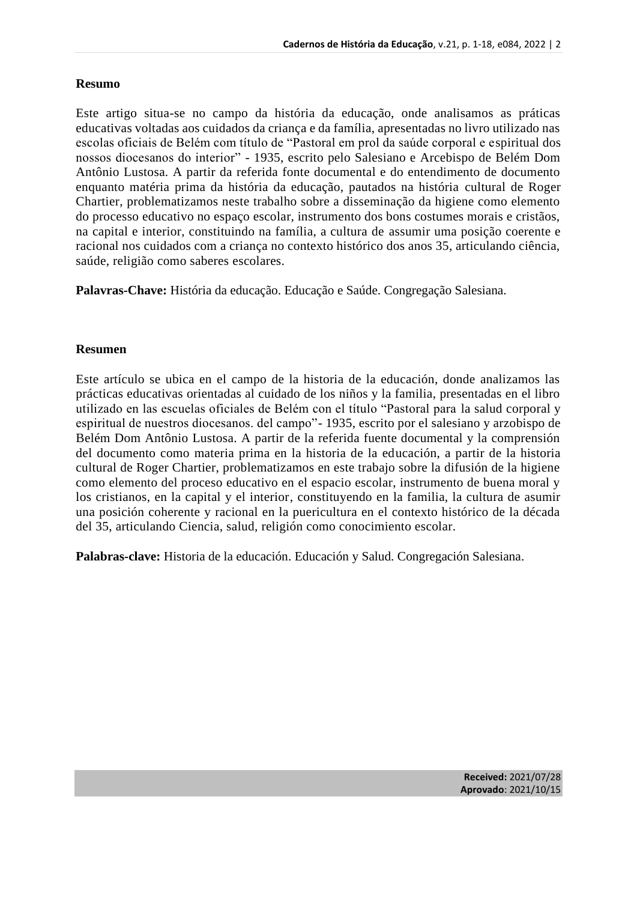# **Resumo**

Este artigo situa-se no campo da história da educação, onde analisamos as práticas educativas voltadas aos cuidados da criança e da família, apresentadas no livro utilizado nas escolas oficiais de Belém com título de "Pastoral em prol da saúde corporal e espiritual dos nossos diocesanos do interior" - 1935, escrito pelo Salesiano e Arcebispo de Belém Dom Antônio Lustosa. A partir da referida fonte documental e do entendimento de documento enquanto matéria prima da história da educação, pautados na história cultural de Roger Chartier, problematizamos neste trabalho sobre a disseminação da higiene como elemento do processo educativo no espaço escolar, instrumento dos bons costumes morais e cristãos, na capital e interior, constituindo na família, a cultura de assumir uma posição coerente e racional nos cuidados com a criança no contexto histórico dos anos 35, articulando ciência, saúde, religião como saberes escolares.

**Palavras-Chave:** História da educação. Educação e Saúde. Congregação Salesiana.

### **Resumen**

Este artículo se ubica en el campo de la historia de la educación, donde analizamos las prácticas educativas orientadas al cuidado de los niños y la familia, presentadas en el libro utilizado en las escuelas oficiales de Belém con el título "Pastoral para la salud corporal y espiritual de nuestros diocesanos. del campo"- 1935, escrito por el salesiano y arzobispo de Belém Dom Antônio Lustosa. A partir de la referida fuente documental y la comprensión del documento como materia prima en la historia de la educación, a partir de la historia cultural de Roger Chartier, problematizamos en este trabajo sobre la difusión de la higiene como elemento del proceso educativo en el espacio escolar, instrumento de buena moral y los cristianos, en la capital y el interior, constituyendo en la familia, la cultura de asumir una posición coherente y racional en la puericultura en el contexto histórico de la década del 35, articulando Ciencia, salud, religión como conocimiento escolar.

**Palabras-clave:** Historia de la educación. Educación y Salud. Congregación Salesiana.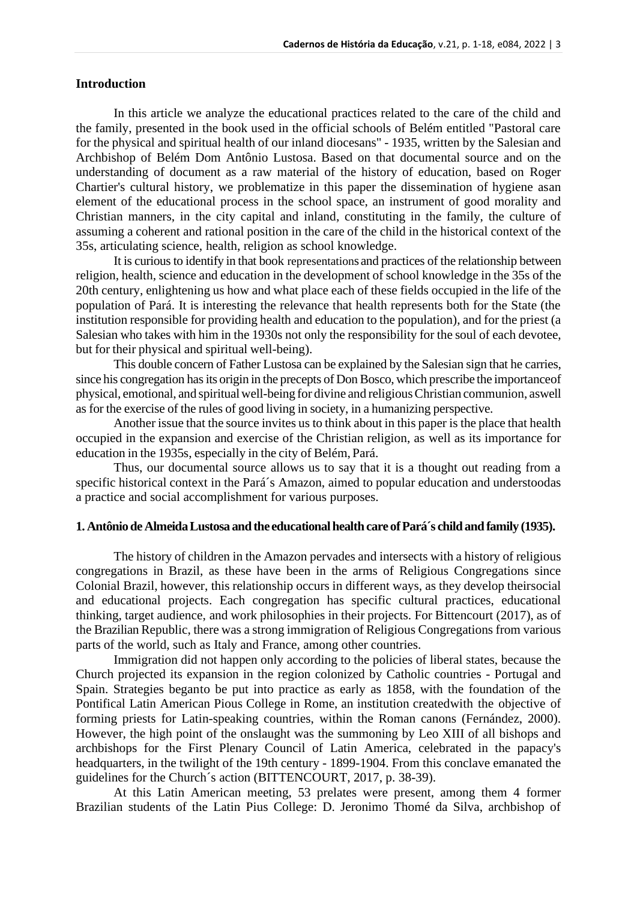### **Introduction**

In this article we analyze the educational practices related to the care of the child and the family, presented in the book used in the official schools of Belém entitled "Pastoral care for the physical and spiritual health of our inland diocesans" - 1935, written by the Salesian and Archbishop of Belém Dom Antônio Lustosa. Based on that documental source and on the understanding of document as a raw material of the history of education, based on Roger Chartier's cultural history, we problematize in this paper the dissemination of hygiene asan element of the educational process in the school space, an instrument of good morality and Christian manners, in the city capital and inland, constituting in the family, the culture of assuming a coherent and rational position in the care of the child in the historical context of the 35s, articulating science, health, religion as school knowledge.

It is curious to identify in that book representations and practices of the relationship between religion, health, science and education in the development of school knowledge in the 35s of the 20th century, enlightening us how and what place each of these fields occupied in the life of the population of Pará. It is interesting the relevance that health represents both for the State (the institution responsible for providing health and education to the population), and for the priest (a Salesian who takes with him in the 1930s not only the responsibility for the soul of each devotee, but for their physical and spiritual well-being).

This double concern of Father Lustosa can be explained by the Salesian sign that he carries, since his congregation has its origin in the precepts of Don Bosco, which prescribe the importance of physical, emotional, and spiritualwell-being for divine and religiousChristian communion, aswell as for the exercise of the rules of good living in society, in a humanizing perspective.

Another issue that the source invites us to think about in this paper is the place that health occupied in the expansion and exercise of the Christian religion, as well as its importance for education in the 1935s, especially in the city of Belém, Pará.

Thus, our documental source allows us to say that it is a thought out reading from a specific historical context in the Pará´s Amazon, aimed to popular education and understoodas a practice and social accomplishment for various purposes.

### **1. Antônio de Almeida Lustosa and the educational health care of Pará´s child and family (1935).**

The history of children in the Amazon pervades and intersects with a history of religious congregations in Brazil, as these have been in the arms of Religious Congregations since Colonial Brazil, however, this relationship occurs in different ways, as they develop theirsocial and educational projects. Each congregation has specific cultural practices, educational thinking, target audience, and work philosophies in their projects. For Bittencourt (2017), as of the Brazilian Republic, there was a strong immigration of Religious Congregations from various parts of the world, such as Italy and France, among other countries.

Immigration did not happen only according to the policies of liberal states, because the Church projected its expansion in the region colonized by Catholic countries - Portugal and Spain. Strategies beganto be put into practice as early as 1858, with the foundation of the Pontifical Latin American Pious College in Rome, an institution createdwith the objective of forming priests for Latin-speaking countries, within the Roman canons (Fernández, 2000). However, the high point of the onslaught was the summoning by Leo XIII of all bishops and archbishops for the First Plenary Council of Latin America, celebrated in the papacy's headquarters, in the twilight of the 19th century - 1899-1904. From this conclave emanated the guidelines for the Church´s action (BITTENCOURT, 2017, p. 38-39).

At this Latin American meeting, 53 prelates were present, among them 4 former Brazilian students of the Latin Pius College: D. Jeronimo Thomé da Silva, archbishop of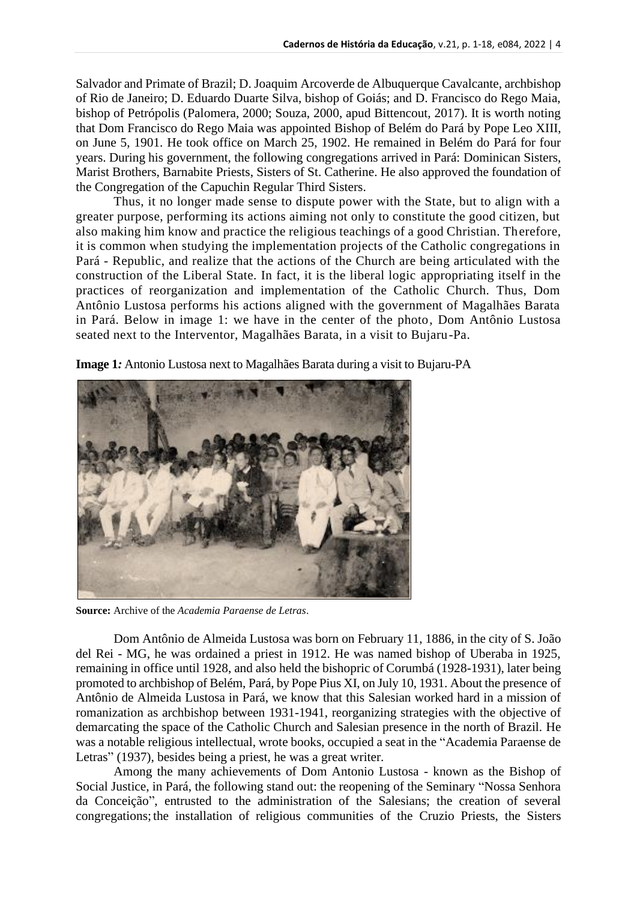Salvador and Primate of Brazil; D. Joaquim Arcoverde de Albuquerque Cavalcante, archbishop of Rio de Janeiro; D. Eduardo Duarte Silva, bishop of Goiás; and D. Francisco do Rego Maia, bishop of Petrópolis (Palomera, 2000; Souza, 2000, apud Bittencout, 2017). It is worth noting that Dom Francisco do Rego Maia was appointed [Bishop of Belém d](https://pt.wikipedia.org/wiki/Arquidiocese_de_Bel%C3%A9m_do_Par%C3%A1)o [Pará b](https://pt.wikipedia.org/wiki/Arquidiocese_de_Bel%C3%A9m_do_Par%C3%A1)y [Pope Leo XIII,](https://pt.wikipedia.org/wiki/Papa_Le%C3%A3o_XIII) on [June 5,](https://pt.wikipedia.org/wiki/5_de_junho) [1901.](https://pt.wikipedia.org/wiki/1901) He took office on [March 25,](https://pt.wikipedia.org/wiki/25_de_mar%C3%A7o) [1902.](https://pt.wikipedia.org/wiki/1902) He remained in Belém do Pará for four years. During his government, the following [congregations](https://pt.wikipedia.org/wiki/Ordens_e_congrega%C3%A7%C3%B5es_religiosas_cat%C3%B3licas) arrived in [Pará:](https://pt.wikipedia.org/wiki/Par%C3%A1) [Dominican](https://pt.wikipedia.org/wiki/Ordem_dos_Pregadores) Sisters, Marist [Brothers,](https://pt.wikipedia.org/wiki/Irm%C3%A3os_Maristas) [Barnabite Priests,](https://pt.wikipedia.org/w/index.php?title=Padres_Barnabitas&action=edit&redlink=1) Sisters of St. [Catherine.](https://pt.wikipedia.org/w/index.php?title=Irm%C3%A3s_de_Santa_Catarina&action=edit&redlink=1) He also approved the foundation of the Congregation of the Capuchin Regular Third Sisters.

Thus, it no longer made sense to dispute power with the State, but to align with a greater purpose, performing its actions aiming not only to constitute the good citizen, but also making him know and practice the religious teachings of a good Christian. Therefore, it is common when studying the implementation projects of the Catholic congregations in Pará - Republic, and realize that the actions of the Church are being articulated with the construction of the Liberal State. In fact, it is the liberal logic appropriating itself in the practices of reorganization and implementation of the Catholic Church. Thus, Dom Antônio Lustosa performs his actions aligned with the government of Magalhães Barata in Pará. Below in image 1: we have in the center of the photo, Dom Antônio Lustosa seated next to the Interventor, Magalhães Barata, in a visit to Bujaru-Pa.



**Image 1***:* Antonio Lustosa next to Magalhães Barata during a visit to Bujaru-PA

**Source:** Archive of the *Academia Paraense de Letras*.

Dom Antônio de Almeida Lustosa was born on February 11, 1886, in the city of S. João del Rei - MG, he was ordained a priest in 1912. He was named bishop of Uberaba in 1925, remaining in office until 1928, and also held the bishopric of Corumbá (1928-1931), later being promoted to archbishop of Belém, Pará, by Pope Pius XI, on July 10, 1931. About the presence of Antônio de Almeida Lustosa in Pará, we know that this Salesian worked hard in a mission of romanization as archbishop between 1931-1941, reorganizing strategies with the objective of demarcating the space of the Catholic Church and Salesian presence in the north of Brazil. He was a notable religious intellectual, wrote books, occupied a seat in the "Academia Paraense de Letras" (1937), besides being a priest, he was a great writer.

Among the many achievements of Dom Antonio Lustosa - known as the Bishop of Social Justice, in Pará, the following stand out: the reopening of the Seminary "Nossa Senhora da Conceição", entrusted to the administration of the [Salesians;](https://pt.wikipedia.org/wiki/Salesianos) the creation of several congregations; the installation of religious communities of the [Cruzio Priests, t](https://pt.wikipedia.org/wiki/Padres_Cr%C3%BAzios)he Sisters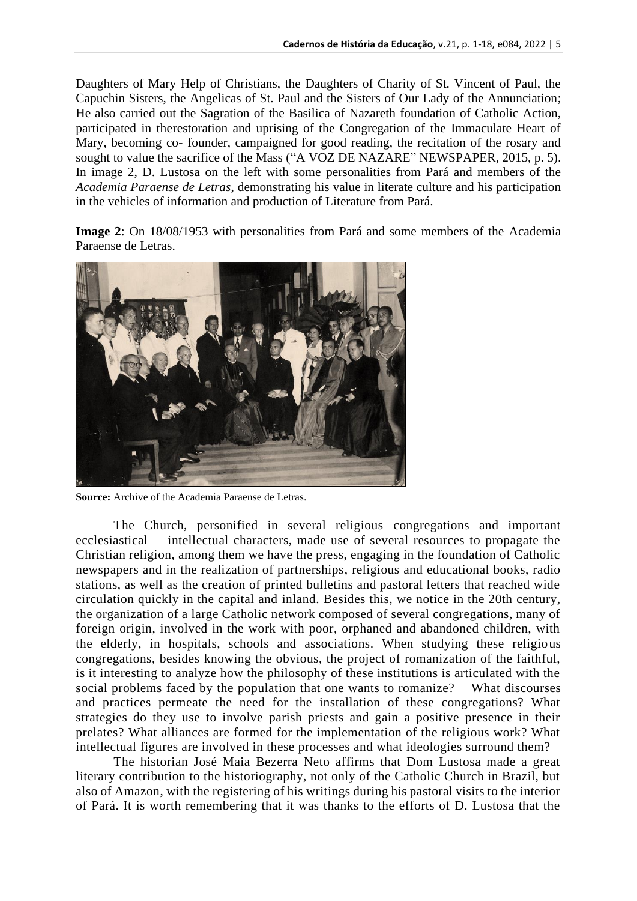Daughters of [Mary](https://pt.wikipedia.org/w/index.php?title=Irm%C3%A3s_Filhas_de_Maria_Auxiliadora&action=edit&redlink=1) [Help of Christians, the](https://pt.wikipedia.org/w/index.php?title=Irm%C3%A3s_Filhas_de_Maria_Auxiliadora&action=edit&redlink=1) [Daughters of Charity of St. Vincent of Paul, the](https://pt.wikipedia.org/wiki/Filhas_da_Caridade_de_S%C3%A3o_Vicente_de_Paulo)  [Capuchin Sisters, t](https://pt.wikipedia.org/wiki/Filhas_da_Caridade_de_S%C3%A3o_Vicente_de_Paulo)he Angelicas of [St. Paul a](https://pt.wikipedia.org/w/index.php?title=Ang%C3%A9licas_de_S%C3%A3o_Paulo&action=edit&redlink=1)nd the [Sisters of Our Lady of the Annunciation;](https://pt.wikipedia.org/w/index.php?title=Irm%C3%A3s_de_Nossa_Senhora_da_Anuncia%C3%A7%C3%A3o&action=edit&redlink=1) He also carried out the Sagration of the Basilica of Nazareth foundation of Catholic Action, participated in therestoration and uprising of the Congregation of the Immaculate Heart of Mary, becoming co- founder, campaigned for good reading, the recitation of the rosary and sought to value the sacrifice of the Mass ("A VOZ DE NAZARE" NEWSPAPER, 2015, p. 5). In image 2, D. Lustosa on the left with some personalities from Pará and members of the *Academia Paraense de Letras*, demonstrating his value in literate culture and his participation in the vehicles of information and production of Literature from Pará.

**Image 2**: On 18/08/1953 with personalities from Pará and some members of the Academia Paraense de Letras.



**Source:** Archive of the Academia Paraense de Letras.

The Church, personified in several religious congregations and important ecclesiastical intellectual characters, made use of several resources to propagate the Christian religion, among them we have the press, engaging in the foundation of Catholic newspapers and in the realization of partnerships, religious and educational books, radio stations, as well as the creation of printed bulletins and pastoral letters that reached wide circulation quickly in the capital and inland. Besides this, we notice in the 20th century, the organization of a large Catholic network composed of several congregations, many of foreign origin, involved in the work with poor, orphaned and abandoned children, with the elderly, in hospitals, schools and associations. When studying these religious congregations, besides knowing the obvious, the project of romanization of the faithful, is it interesting to analyze how the philosophy of these institutions is articulated with the social problems faced by the population that one wants to romanize? What discourses and practices permeate the need for the installation of these congregations? What strategies do they use to involve parish priests and gain a positive presence in their prelates? What alliances are formed for the implementation of the religious work? What intellectual figures are involved in these processes and what ideologies surround them?

The historian José Maia Bezerra Neto affirms that Dom Lustosa made a great literary contribution to the historiography, not only of the Catholic Church in Brazil, but also of Amazon, with the registering of his writings during his pastoral visits to the interior of Pará. It is worth remembering that it was thanks to the efforts of D. Lustosa that the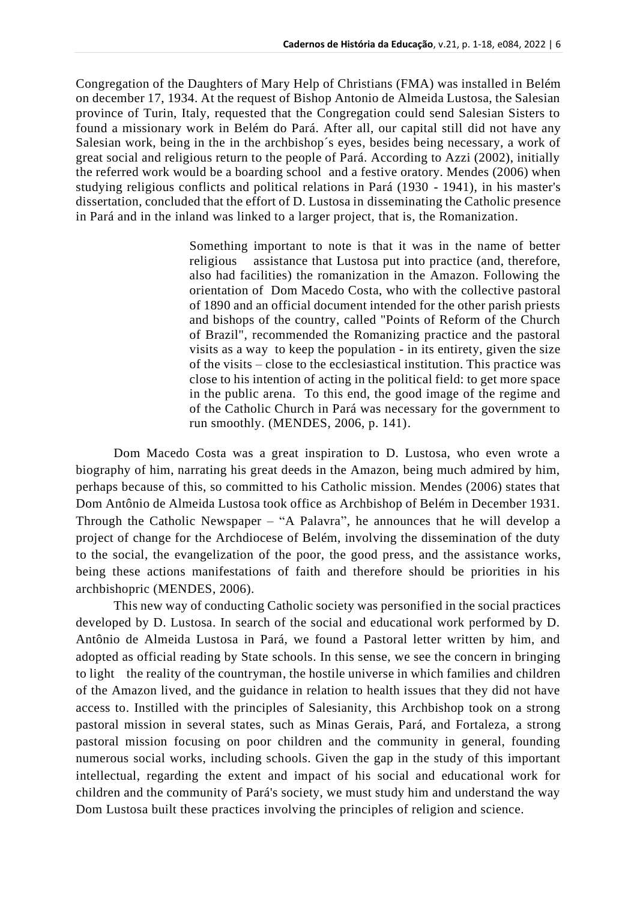Congregation of the Daughters of Mary Help of Christians (FMA) was installed in Belém on december 17, 1934. At the request of Bishop Antonio de Almeida Lustosa, the Salesian province of Turin, Italy, requested that the Congregation could send Salesian Sisters to found a missionary work in Belém do Pará. After all, our capital still did not have any Salesian work, being in the in the archbishop´s eyes, besides being necessary, a work of great social and religious return to the people of Pará. According to Azzi (2002), initially the referred work would be a boarding school and a festive oratory. Mendes (2006) when studying religious conflicts and political relations in Pará (1930 - 1941), in his master's dissertation, concluded that the effort of D. Lustosa in disseminating the Catholic presence in Pará and in the inland was linked to a larger project, that is, the Romanization.

> Something important to note is that it was in the name of better religious assistance that Lustosa put into practice (and, therefore, also had facilities) the romanization in the Amazon. Following the orientation of Dom Macedo Costa, who with the collective pastoral of 1890 and an official document intended for the other parish priests and bishops of the country, called "Points of Reform of the Church of Brazil", recommended the Romanizing practice and the pastoral visits as a way to keep the population - in its entirety, given the size of the visits – close to the ecclesiastical institution. This practice was close to his intention of acting in the political field: to get more space in the public arena. To this end, the good image of the regime and of the Catholic Church in Pará was necessary for the government to run smoothly. (MENDES, 2006, p. 141).

Dom Macedo Costa was a great inspiration to D. Lustosa, who even wrote a biography of him, narrating his great deeds in the Amazon, being much admired by him, perhaps because of this, so committed to his Catholic mission. Mendes (2006) states that Dom Antônio de Almeida Lustosa took office as Archbishop of Belém in December 1931. Through the Catholic Newspaper – "A Palavra", he announces that he will develop a project of change for the Archdiocese of Belém, involving the dissemination of the duty to the social, the evangelization of the poor, the good press, and the assistance works, being these actions manifestations of faith and therefore should be priorities in his archbishopric (MENDES, 2006).

This new way of conducting Catholic society was personified in the social practices developed by D. Lustosa. In search of the social and educational work performed by D. Antônio de Almeida Lustosa in Pará, we found a Pastoral letter written by him, and adopted as official reading by State schools. In this sense, we see the concern in bringing to light the reality of the countryman, the hostile universe in which families and children of the Amazon lived, and the guidance in relation to health issues that they did not have access to. Instilled with the principles of Salesianity, this Archbishop took on a strong pastoral mission in several states, such as Minas Gerais, Pará, and Fortaleza, a strong pastoral mission focusing on poor children and the community in general, founding numerous social works, including schools. Given the gap in the study of this important intellectual, regarding the extent and impact of his social and educational work for children and the community of Pará's society, we must study him and understand the way Dom Lustosa built these practices involving the principles of religion and science.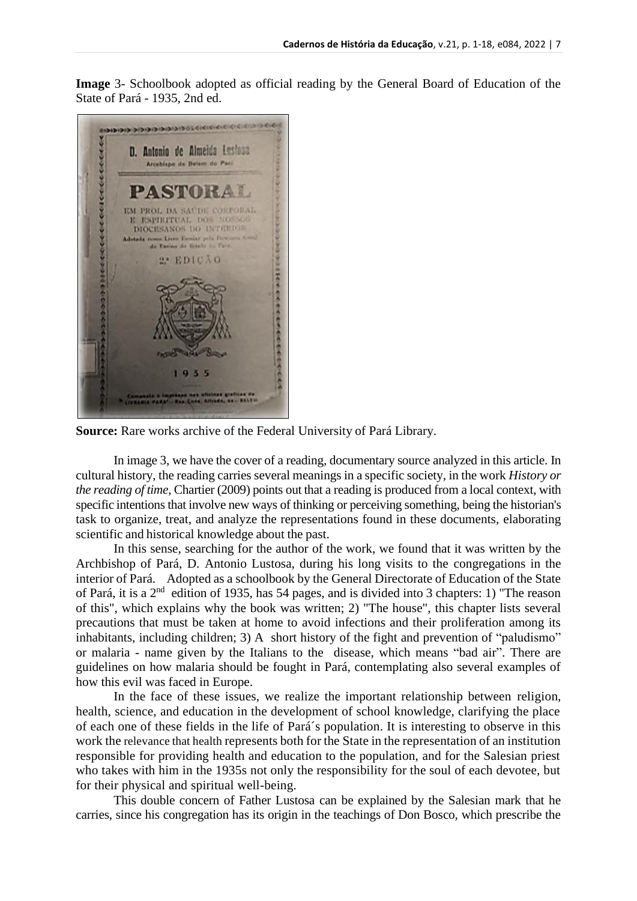**Image** 3- Schoolbook adopted as official reading by the General Board of Education of the State of Pará - 1935, 2nd ed.



**Source:** Rare works archive of the Federal University of Pará Library.

In image 3, we have the cover of a reading, documentary source analyzed in this article. In cultural history, the reading carries several meanings in a specific society, in the work *History or the reading of time*, Chartier (2009) points out that a reading is produced from a local context, with specific intentions that involve new ways of thinking or perceiving something, being the historian's task to organize, treat, and analyze the representations found in these documents, elaborating scientific and historical knowledge about the past.

In this sense, searching for the author of the work, we found that it was written by the Archbishop of Pará, D. Antonio Lustosa, during his long visits to the congregations in the interior of Pará. Adopted as a schoolbook by the General Directorate of Education of the State of Pará, it is a 2nd edition of 1935, has 54 pages, and is divided into 3 chapters: 1) "The reason of this", which explains why the book was written; 2) "The house", this chapter lists several precautions that must be taken at home to avoid infections and their proliferation among its inhabitants, including children; 3) A short history of the fight and prevention of "paludismo" or malaria - name given by the Italians to the disease, which means "bad air". There are guidelines on how malaria should be fought in Pará, contemplating also several examples of how this evil was faced in Europe.

In the face of these issues, we realize the important relationship between religion, health, science, and education in the development of school knowledge, clarifying the place of each one of these fields in the life of Pará´s population. It is interesting to observe in this work the relevance that health represents both for the State in the representation of an institution responsible for providing health and education to the population, and for the Salesian priest who takes with him in the 1935s not only the responsibility for the soul of each devotee, but for their physical and spiritual well-being.

This double concern of Father Lustosa can be explained by the Salesian mark that he carries, since his congregation has its origin in the teachings of Don Bosco, which prescribe the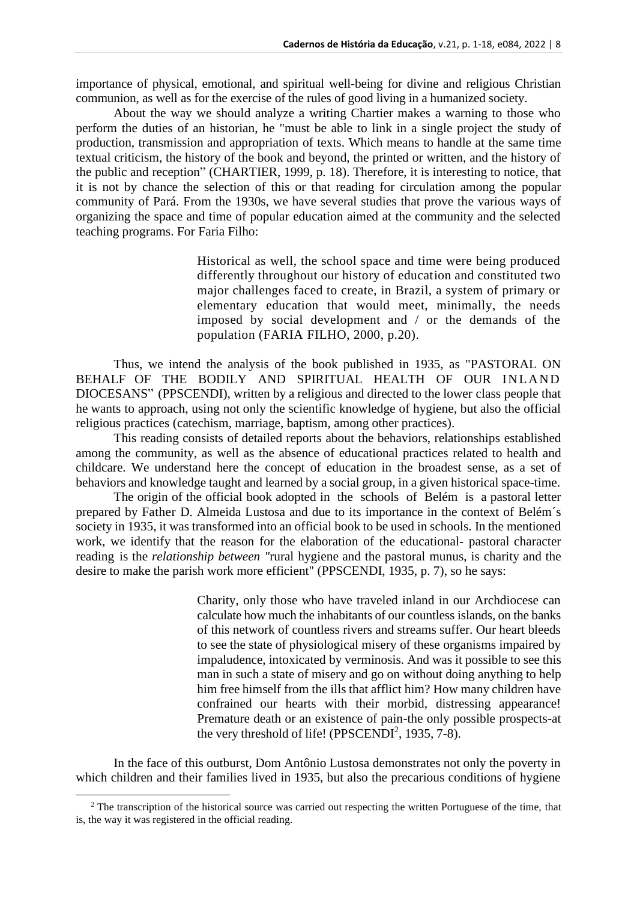importance of physical, emotional, and spiritual well-being for divine and religious Christian communion, as well as for the exercise of the rules of good living in a humanized society.

About the way we should analyze a writing Chartier makes a warning to those who perform the duties of an historian, he "must be able to link in a single project the study of production, transmission and appropriation of texts. Which means to handle at the same time textual criticism, the history of the book and beyond, the printed or written, and the history of the public and reception" (CHARTIER, 1999, p. 18). Therefore, it is interesting to notice, that it is not by chance the selection of this or that reading for circulation among the popular community of Pará. From the 1930s, we have several studies that prove the various ways of organizing the space and time of popular education aimed at the community and the selected teaching programs. For Faria Filho:

> Historical as well, the school space and time were being produced differently throughout our history of education and constituted two major challenges faced to create, in Brazil, a system of primary or elementary education that would meet, minimally, the needs imposed by social development and / or the demands of the population (FARIA FILHO, 2000, p.20).

Thus, we intend the analysis of the book published in 1935, as "PASTORAL ON BEHALF OF THE BODILY AND SPIRITUAL HEALTH OF OUR INLAND DIOCESANS" (PPSCENDI), written by a religious and directed to the lower class people that he wants to approach, using not only the scientific knowledge of hygiene, but also the official religious practices (catechism, marriage, baptism, among other practices).

This reading consists of detailed reports about the behaviors, relationships established among the community, as well as the absence of educational practices related to health and childcare. We understand here the concept of education in the broadest sense, as a set of behaviors and knowledge taught and learned by a social group, in a given historical space-time.

The origin of the official book adopted in the schools of Belém is a pastoral letter prepared by Father D. Almeida Lustosa and due to its importance in the context of Belém´s society in 1935, it was transformed into an official book to be used in schools. In the mentioned work, we identify that the reason for the elaboration of the educational- pastoral character reading is the *relationship between "*rural hygiene and the pastoral munus, is charity and the desire to make the parish work more efficient" (PPSCENDI, 1935, p. 7), so he says:

> Charity, only those who have traveled inland in our Archdiocese can calculate how much the inhabitants of our countless islands, on the banks of this network of countless rivers and streams suffer. Our heart bleeds to see the state of physiological misery of these organisms impaired by impaludence, intoxicated by verminosis. And was it possible to see this man in such a state of misery and go on without doing anything to help him free himself from the ills that afflict him? How many children have confrained our hearts with their morbid, distressing appearance! Premature death or an existence of pain-the only possible prospects-at the very threshold of life! (PPSCENDI<sup>2</sup>, 1935, 7-8).

In the face of this outburst, Dom Antônio Lustosa demonstrates not only the poverty in which children and their families lived in 1935, but also the precarious conditions of hygiene

<sup>&</sup>lt;sup>2</sup> The transcription of the historical source was carried out respecting the written Portuguese of the time, that is, the way it was registered in the official reading.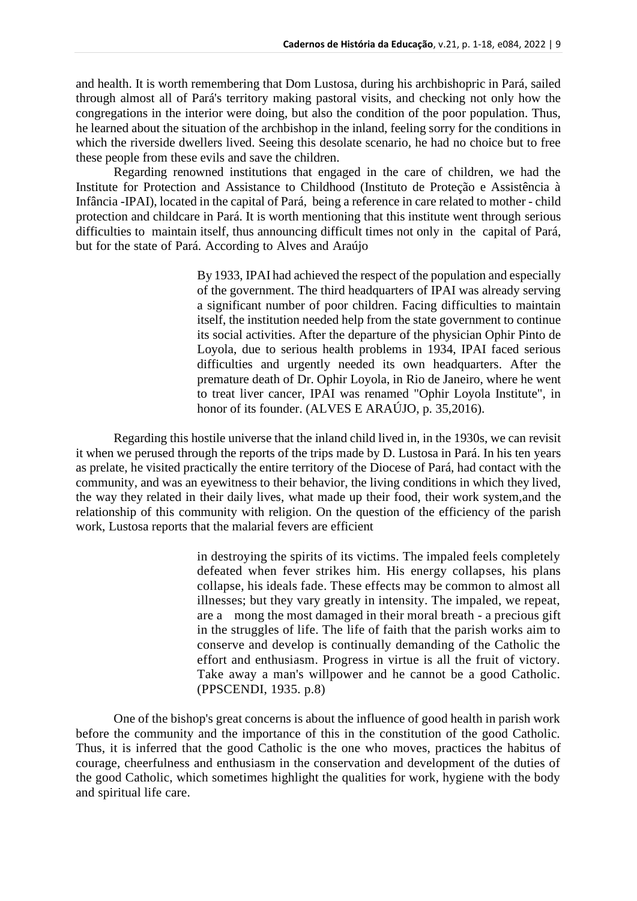and health. It is worth remembering that Dom Lustosa, during his archbishopric in Pará, sailed through almost all of Pará's territory making pastoral visits, and checking not only how the congregations in the interior were doing, but also the condition of the poor population. Thus, he learned about the situation of the archbishop in the inland, feeling sorry for the conditions in which the riverside dwellers lived. Seeing this desolate scenario, he had no choice but to free these people from these evils and save the children.

Regarding renowned institutions that engaged in the care of children, we had the Institute for Protection and Assistance to Childhood (Instituto de Proteção e Assistência à Infância -IPAI), located in the capital of Pará, being a reference in care related to mother - child protection and childcare in Pará. It is worth mentioning that this institute went through serious difficulties to maintain itself, thus announcing difficult times not only in the capital of Pará, but for the state of Pará. According to Alves and Araújo

> By 1933, IPAI had achieved the respect of the population and especially of the government. The third headquarters of IPAI was already serving a significant number of poor children. Facing difficulties to maintain itself, the institution needed help from the state government to continue its social activities. After the departure of the physician Ophir Pinto de Loyola, due to serious health problems in 1934, IPAI faced serious difficulties and urgently needed its own headquarters. After the premature death of Dr. Ophir Loyola, in Rio de Janeiro, where he went to treat liver cancer, IPAI was renamed "Ophir Loyola Institute", in honor of its founder. (ALVES E ARAÚJO, p. 35,2016).

Regarding this hostile universe that the inland child lived in, in the 1930s, we can revisit it when we perused through the reports of the trips made by D. Lustosa in Pará. In his ten years as prelate, he visited practically the entire territory of the Diocese of Pará, had contact with the community, and was an eyewitness to their behavior, the living conditions in which they lived, the way they related in their daily lives, what made up their food, their work system,and the relationship of this community with religion. On the question of the efficiency of the parish work, Lustosa reports that the malarial fevers are efficient

> in destroying the spirits of its victims. The impaled feels completely defeated when fever strikes him. His energy collapses, his plans collapse, his ideals fade. These effects may be common to almost all illnesses; but they vary greatly in intensity. The impaled, we repeat, are a mong the most damaged in their moral breath - a precious gift in the struggles of life. The life of faith that the parish works aim to conserve and develop is continually demanding of the Catholic the effort and enthusiasm. Progress in virtue is all the fruit of victory. Take away a man's willpower and he cannot be a good Catholic. (PPSCENDI, 1935. p.8)

One of the bishop's great concerns is about the influence of good health in parish work before the community and the importance of this in the constitution of the good Catholic. Thus, it is inferred that the good Catholic is the one who moves, practices the habitus of courage, cheerfulness and enthusiasm in the conservation and development of the duties of the good Catholic, which sometimes highlight the qualities for work, hygiene with the body and spiritual life care.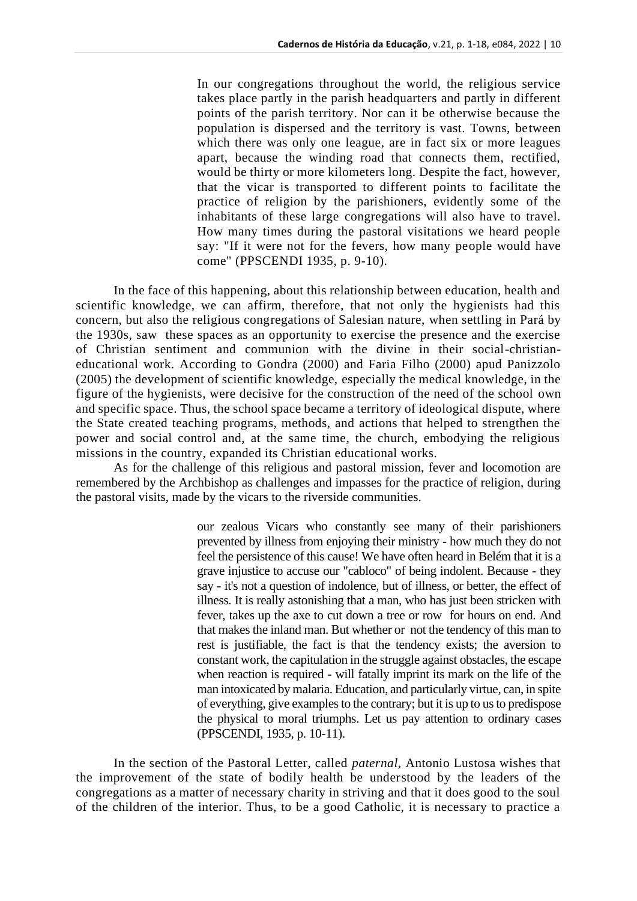In our congregations throughout the world, the religious service takes place partly in the parish headquarters and partly in different points of the parish territory. Nor can it be otherwise because the population is dispersed and the territory is vast. Towns, between which there was only one league, are in fact six or more leagues apart, because the winding road that connects them, rectified, would be thirty or more kilometers long. Despite the fact, however, that the vicar is transported to different points to facilitate the practice of religion by the parishioners, evidently some of the inhabitants of these large congregations will also have to travel. How many times during the pastoral visitations we heard people say: "If it were not for the fevers, how many people would have come" (PPSCENDI 1935, p. 9-10).

In the face of this happening, about this relationship between education, health and scientific knowledge, we can affirm, therefore, that not only the hygienists had this concern, but also the religious congregations of Salesian nature, when settling in Pará by the 1930s, saw these spaces as an opportunity to exercise the presence and the exercise of Christian sentiment and communion with the divine in their social-christianeducational work. According to Gondra (2000) and Faria Filho (2000) apud Panizzolo (2005) the development of scientific knowledge, especially the medical knowledge, in the figure of the hygienists, were decisive for the construction of the need of the school own and specific space. Thus, the school space became a territory of ideological dispute, where the State created teaching programs, methods, and actions that helped to strengthen the power and social control and, at the same time, the church, embodying the religious missions in the country, expanded its Christian educational works.

As for the challenge of this religious and pastoral mission, fever and locomotion are remembered by the Archbishop as challenges and impasses for the practice of religion, during the pastoral visits, made by the vicars to the riverside communities.

> our zealous Vicars who constantly see many of their parishioners prevented by illness from enjoying their ministry - how much they do not feel the persistence of this cause! We have often heard in Belém that it is a grave injustice to accuse our "cabloco" of being indolent. Because - they say - it's not a question of indolence, but of illness, or better, the effect of illness. It is really astonishing that a man, who has just been stricken with fever, takes up the axe to cut down a tree or row for hours on end. And that makes the inland man. But whether or not the tendency of this man to rest is justifiable, the fact is that the tendency exists; the aversion to constant work, the capitulation in the struggle against obstacles, the escape when reaction is required - will fatally imprint its mark on the life of the man intoxicated by malaria. Education, and particularly virtue, can, in spite of everything, give examples to the contrary; but it is up to us to predispose the physical to moral triumphs. Let us pay attention to ordinary cases (PPSCENDI, 1935, p. 10-11).

In the section of the Pastoral Letter, called *paternal,* Antonio Lustosa wishes that the improvement of the state of bodily health be understood by the leaders of the congregations as a matter of necessary charity in striving and that it does good to the soul of the children of the interior. Thus, to be a good Catholic, it is necessary to practice a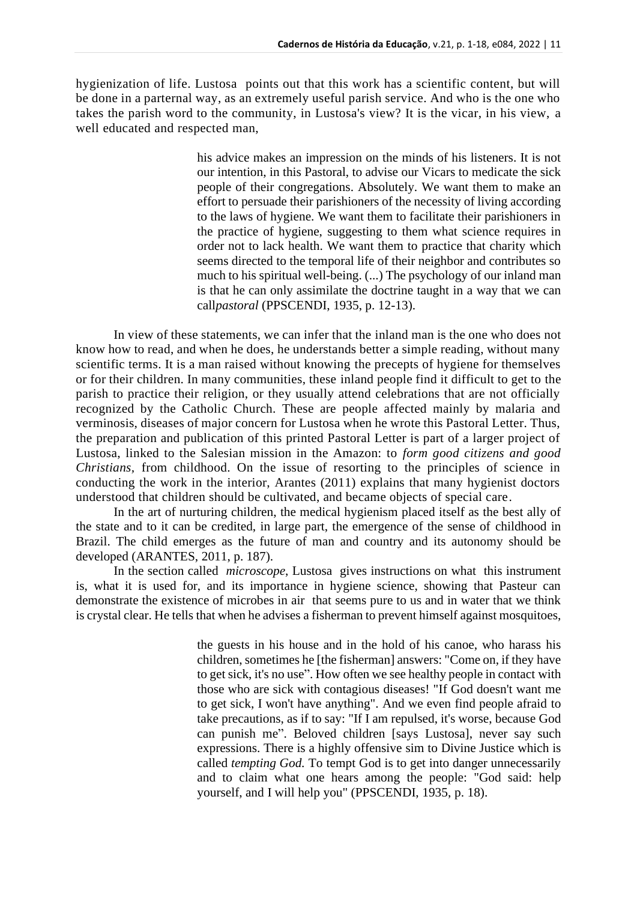hygienization of life. Lustosa points out that this work has a scientific content, but will be done in a parternal way, as an extremely useful parish service. And who is the one who takes the parish word to the community, in Lustosa's view? It is the vicar, in his view, a well educated and respected man,

> his advice makes an impression on the minds of his listeners. It is not our intention, in this Pastoral, to advise our Vicars to medicate the sick people of their congregations. Absolutely. We want them to make an effort to persuade their parishioners of the necessity of living according to the laws of hygiene. We want them to facilitate their parishioners in the practice of hygiene, suggesting to them what science requires in order not to lack health. We want them to practice that charity which seems directed to the temporal life of their neighbor and contributes so much to his spiritual well-being. (...) The psychology of our inland man is that he can only assimilate the doctrine taught in a way that we can call*pastoral* (PPSCENDI, 1935, p. 12-13).

In view of these statements, we can infer that the inland man is the one who does not know how to read, and when he does, he understands better a simple reading, without many scientific terms. It is a man raised without knowing the precepts of hygiene for themselves or for their children. In many communities, these inland people find it difficult to get to the parish to practice their religion, or they usually attend celebrations that are not officially recognized by the Catholic Church. These are people affected mainly by malaria and verminosis, diseases of major concern for Lustosa when he wrote this Pastoral Letter. Thus, the preparation and publication of this printed Pastoral Letter is part of a larger project of Lustosa, linked to the Salesian mission in the Amazon: to *form good citizens and good Christians,* from childhood. On the issue of resorting to the principles of science in conducting the work in the interior, Arantes (2011) explains that many hygienist doctors understood that children should be cultivated, and became objects of special care.

In the art of nurturing children, the medical hygienism placed itself as the best ally of the state and to it can be credited, in large part, the emergence of the sense of childhood in Brazil. The child emerges as the future of man and country and its autonomy should be developed (ARANTES, 2011, p. 187).

In the section called *microscope*, Lustosa gives instructions on what this instrument is, what it is used for, and its importance in hygiene science, showing that Pasteur can demonstrate the existence of microbes in air that seems pure to us and in water that we think is crystal clear. He tells that when he advises a fisherman to prevent himself against mosquitoes,

> the guests in his house and in the hold of his canoe, who harass his children, sometimes he [the fisherman] answers: "Come on, if they have to get sick, it's no use". How often we see healthy people in contact with those who are sick with contagious diseases! "If God doesn't want me to get sick, I won't have anything". And we even find people afraid to take precautions, as if to say: "If I am repulsed, it's worse, because God can punish me". Beloved children [says Lustosa], never say such expressions. There is a highly offensive sim to Divine Justice which is called *tempting God.* To tempt God is to get into danger unnecessarily and to claim what one hears among the people: "God said: help yourself, and I will help you" (PPSCENDI, 1935, p. 18).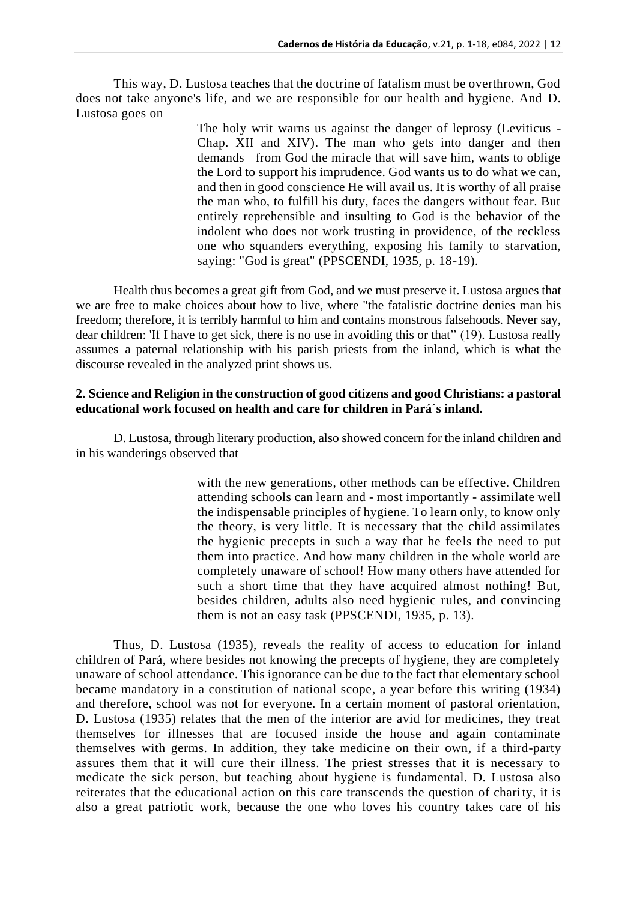This way, D. Lustosa teaches that the doctrine of fatalism must be overthrown, God does not take anyone's life, and we are responsible for our health and hygiene. And D. Lustosa goes on

> The holy writ warns us against the danger of leprosy (Leviticus - Chap. XII and XIV). The man who gets into danger and then demands from God the miracle that will save him, wants to oblige the Lord to support his imprudence. God wants us to do what we can, and then in good conscience He will avail us. It is worthy of all praise the man who, to fulfill his duty, faces the dangers without fear. But entirely reprehensible and insulting to God is the behavior of the indolent who does not work trusting in providence, of the reckless one who squanders everything, exposing his family to starvation, saying: "God is great" (PPSCENDI, 1935, p. 18-19).

Health thus becomes a great gift from God, and we must preserve it. Lustosa argues that we are free to make choices about how to live, where "the fatalistic doctrine denies man his freedom; therefore, it is terribly harmful to him and contains monstrous falsehoods. Never say, dear children: 'If I have to get sick, there is no use in avoiding this or that" (19). Lustosa really assumes a paternal relationship with his parish priests from the inland, which is what the discourse revealed in the analyzed print shows us.

### **2. Science and Religion in the construction of good citizens and good Christians: a pastoral educational work focused on health and care for children in Pará´s inland.**

D. Lustosa, through literary production, also showed concern for the inland children and in his wanderings observed that

> with the new generations, other methods can be effective. Children attending schools can learn and - most importantly - assimilate well the indispensable principles of hygiene. To learn only, to know only the theory, is very little. It is necessary that the child assimilates the hygienic precepts in such a way that he feels the need to put them into practice. And how many children in the whole world are completely unaware of school! How many others have attended for such a short time that they have acquired almost nothing! But, besides children, adults also need hygienic rules, and convincing them is not an easy task (PPSCENDI, 1935, p. 13).

Thus, D. Lustosa (1935), reveals the reality of access to education for inland children of Pará, where besides not knowing the precepts of hygiene, they are completely unaware of school attendance. This ignorance can be due to the fact that elementary school became mandatory in a constitution of national scope, a year before this writing (1934) and therefore, school was not for everyone. In a certain moment of pastoral orientation, D. Lustosa (1935) relates that the men of the interior are avid for medicines, they treat themselves for illnesses that are focused inside the house and again contaminate themselves with germs. In addition, they take medicine on their own, if a third-party assures them that it will cure their illness. The priest stresses that it is necessary to medicate the sick person, but teaching about hygiene is fundamental. D. Lustosa also reiterates that the educational action on this care transcends the question of charity, it is also a great patriotic work, because the one who loves his country takes care of his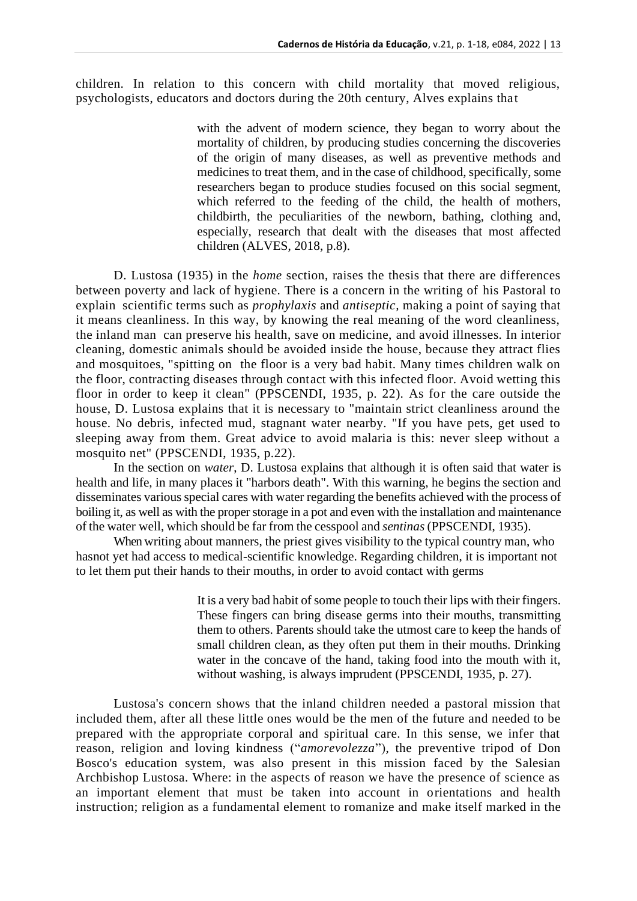children. In relation to this concern with child mortality that moved religious, psychologists, educators and doctors during the 20th century, Alves explains that

> with the advent of modern science, they began to worry about the mortality of children, by producing studies concerning the discoveries of the origin of many diseases, as well as preventive methods and medicines to treat them, and in the case of childhood, specifically, some researchers began to produce studies focused on this social segment, which referred to the feeding of the child, the health of mothers, childbirth, the peculiarities of the newborn, bathing, clothing and, especially, research that dealt with the diseases that most affected children (ALVES, 2018, p.8).

D. Lustosa (1935) in the *home* section, raises the thesis that there are differences between poverty and lack of hygiene. There is a concern in the writing of his Pastoral to explain scientific terms such as *prophylaxis* and *antiseptic,* making a point of saying that it means cleanliness. In this way, by knowing the real meaning of the word cleanliness, the inland man can preserve his health, save on medicine, and avoid illnesses. In interior cleaning, domestic animals should be avoided inside the house, because they attract flies and mosquitoes, "spitting on the floor is a very bad habit. Many times children walk on the floor, contracting diseases through contact with this infected floor. Avoid wetting this floor in order to keep it clean" (PPSCENDI, 1935, p. 22). As for the care outside the house, D. Lustosa explains that it is necessary to "maintain strict cleanliness around the house. No debris, infected mud, stagnant water nearby. "If you have pets, get used to sleeping away from them. Great advice to avoid malaria is this: never sleep without a mosquito net" (PPSCENDI, 1935, p.22).

In the section on *water*, D. Lustosa explains that although it is often said that water is health and life, in many places it "harbors death". With this warning, he begins the section and disseminates various special cares with water regarding the benefits achieved with the process of boiling it, as well as with the proper storage in a pot and even with the installation and maintenance of the water well, which should be far from the cesspool and *sentinas* (PPSCENDI, 1935).

When writing about manners, the priest gives visibility to the typical country man, who hasnot yet had access to medical-scientific knowledge. Regarding children, it is important not to let them put their hands to their mouths, in order to avoid contact with germs

> It is a very bad habit of some people to touch their lips with their fingers. These fingers can bring disease germs into their mouths, transmitting them to others. Parents should take the utmost care to keep the hands of small children clean, as they often put them in their mouths. Drinking water in the concave of the hand, taking food into the mouth with it, without washing, is always imprudent (PPSCENDI, 1935, p. 27).

Lustosa's concern shows that the inland children needed a pastoral mission that included them, after all these little ones would be the men of the future and needed to be prepared with the appropriate corporal and spiritual care. In this sense, we infer that reason, religion and loving kindness ("*amorevolezza*"), the preventive tripod of Don Bosco's education system, was also present in this mission faced by the Salesian Archbishop Lustosa. Where: in the aspects of reason we have the presence of science as an important element that must be taken into account in orientations and health instruction; religion as a fundamental element to romanize and make itself marked in the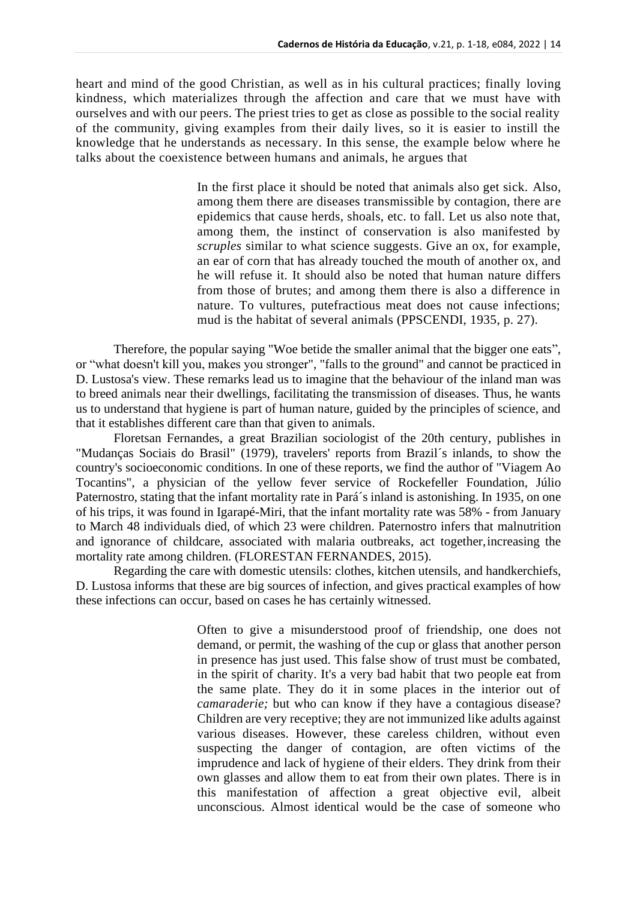heart and mind of the good Christian, as well as in his cultural practices; finally loving kindness, which materializes through the affection and care that we must have with ourselves and with our peers. The priest tries to get as close as possible to the social reality of the community, giving examples from their daily lives, so it is easier to instill the knowledge that he understands as necessary. In this sense, the example below where he talks about the coexistence between humans and animals, he argues that

> In the first place it should be noted that animals also get sick. Also, among them there are diseases transmissible by contagion, there are epidemics that cause herds, shoals, etc. to fall. Let us also note that, among them, the instinct of conservation is also manifested by *scruples* similar to what science suggests. Give an ox, for example, an ear of corn that has already touched the mouth of another ox, and he will refuse it. It should also be noted that human nature differs from those of brutes; and among them there is also a difference in nature. To vultures, putefractious meat does not cause infections; mud is the habitat of several animals (PPSCENDI, 1935, p. 27).

Therefore, the popular saying "Woe betide the smaller animal that the bigger one eats", or "what doesn't kill you, makes you stronger", "falls to the ground" and cannot be practiced in D. Lustosa's view. These remarks lead us to imagine that the behaviour of the inland man was to breed animals near their dwellings, facilitating the transmission of diseases. Thus, he wants us to understand that hygiene is part of human nature, guided by the principles of science, and that it establishes different care than that given to animals.

Floretsan Fernandes, a great Brazilian sociologist of the 20th century, publishes in "Mudanças Sociais do Brasil" (1979), travelers' reports from Brazil´s inlands, to show the country's socioeconomic conditions. In one of these reports, we find the author of "Viagem Ao Tocantins", a physician of the yellow fever service of Rockefeller Foundation, Júlio Paternostro, stating that the infant mortality rate in Pará's inland is astonishing. In 1935, on one of his trips, it was found in Igarapé-Miri, that the infant mortality rate was 58% - from January to March 48 individuals died, of which 23 were children. Paternostro infers that malnutrition and ignorance of childcare, associated with malaria outbreaks, act together,increasing the mortality rate among children. (FLORESTAN FERNANDES, 2015).

Regarding the care with domestic utensils: clothes, kitchen utensils, and handkerchiefs, D. Lustosa informs that these are big sources of infection, and gives practical examples of how these infections can occur, based on cases he has certainly witnessed.

> Often to give a misunderstood proof of friendship, one does not demand, or permit, the washing of the cup or glass that another person in presence has just used. This false show of trust must be combated, in the spirit of charity. It's a very bad habit that two people eat from the same plate. They do it in some places in the interior out of *camaraderie;* but who can know if they have a contagious disease? Children are very receptive; they are not immunized like adults against various diseases. However, these careless children, without even suspecting the danger of contagion, are often victims of the imprudence and lack of hygiene of their elders. They drink from their own glasses and allow them to eat from their own plates. There is in this manifestation of affection a great objective evil, albeit unconscious. Almost identical would be the case of someone who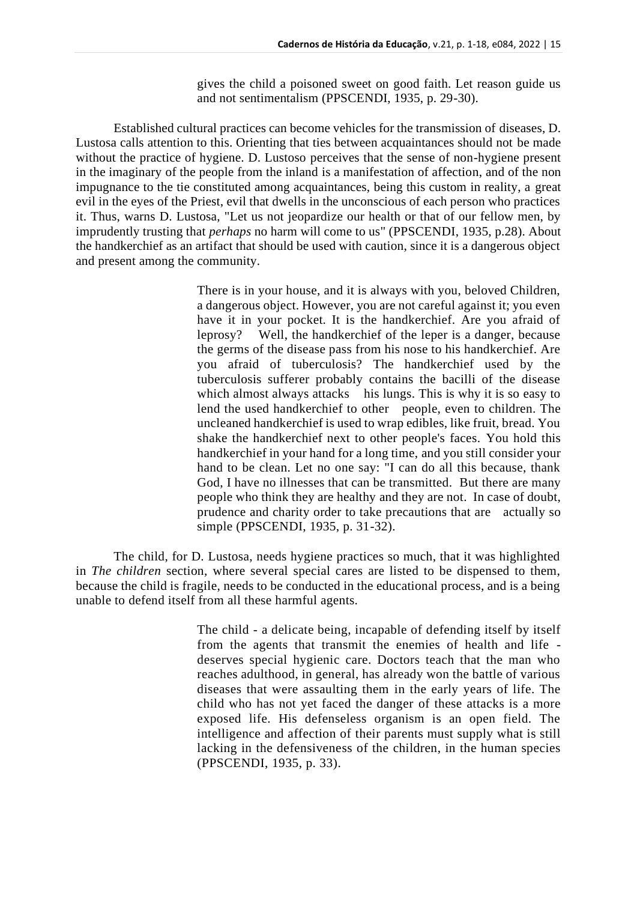gives the child a poisoned sweet on good faith. Let reason guide us and not sentimentalism (PPSCENDI, 1935, p. 29-30).

Established cultural practices can become vehicles for the transmission of diseases, D. Lustosa calls attention to this. Orienting that ties between acquaintances should not be made without the practice of hygiene. D. Lustoso perceives that the sense of non-hygiene present in the imaginary of the people from the inland is a manifestation of affection, and of the non impugnance to the tie constituted among acquaintances, being this custom in reality, a great evil in the eyes of the Priest, evil that dwells in the unconscious of each person who practices it. Thus, warns D. Lustosa, "Let us not jeopardize our health or that of our fellow men, by imprudently trusting that *perhaps* no harm will come to us" (PPSCENDI, 1935, p.28). About the handkerchief as an artifact that should be used with caution, since it is a dangerous object and present among the community.

> There is in your house, and it is always with you, beloved Children, a dangerous object. However, you are not careful against it; you even have it in your pocket. It is the handkerchief. Are you afraid of leprosy? Well, the handkerchief of the leper is a danger, because the germs of the disease pass from his nose to his handkerchief. Are you afraid of tuberculosis? The handkerchief used by the tuberculosis sufferer probably contains the bacilli of the disease which almost always attacks his lungs. This is why it is so easy to lend the used handkerchief to other people, even to children. The uncleaned handkerchief is used to wrap edibles, like fruit, bread. You shake the handkerchief next to other people's faces. You hold this handkerchief in your hand for a long time, and you still consider your hand to be clean. Let no one say: "I can do all this because, thank God, I have no illnesses that can be transmitted. But there are many people who think they are healthy and they are not. In case of doubt, prudence and charity order to take precautions that are actually so simple (PPSCENDI, 1935, p. 31-32).

The child, for D. Lustosa, needs hygiene practices so much, that it was highlighted in *The children* section*,* where several special cares are listed to be dispensed to them, because the child is fragile, needs to be conducted in the educational process, and is a being unable to defend itself from all these harmful agents.

> The child - a delicate being, incapable of defending itself by itself from the agents that transmit the enemies of health and life deserves special hygienic care. Doctors teach that the man who reaches adulthood, in general, has already won the battle of various diseases that were assaulting them in the early years of life. The child who has not yet faced the danger of these attacks is a more exposed life. His defenseless organism is an open field. The intelligence and affection of their parents must supply what is still lacking in the defensiveness of the children, in the human species (PPSCENDI, 1935, p. 33).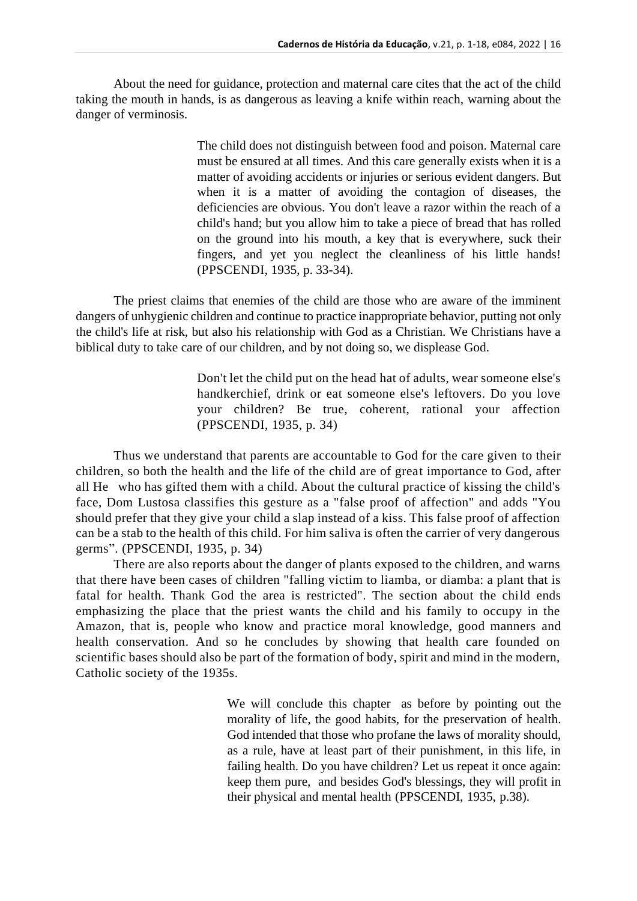About the need for guidance, protection and maternal care cites that the act of the child taking the mouth in hands, is as dangerous as leaving a knife within reach, warning about the danger of verminosis.

> The child does not distinguish between food and poison. Maternal care must be ensured at all times. And this care generally exists when it is a matter of avoiding accidents or injuries or serious evident dangers. But when it is a matter of avoiding the contagion of diseases, the deficiencies are obvious. You don't leave a razor within the reach of a child's hand; but you allow him to take a piece of bread that has rolled on the ground into his mouth, a key that is everywhere, suck their fingers, and yet you neglect the cleanliness of his little hands! (PPSCENDI, 1935, p. 33-34).

The priest claims that enemies of the child are those who are aware of the imminent dangers of unhygienic children and continue to practice inappropriate behavior, putting not only the child's life at risk, but also his relationship with God as a Christian. We Christians have a biblical duty to take care of our children, and by not doing so, we displease God.

> Don't let the child put on the head hat of adults, wear someone else's handkerchief, drink or eat someone else's leftovers. Do you love your children? Be true, coherent, rational your affection (PPSCENDI, 1935, p. 34)

Thus we understand that parents are accountable to God for the care given to their children, so both the health and the life of the child are of great importance to God, after all He who has gifted them with a child. About the cultural practice of kissing the child's face, Dom Lustosa classifies this gesture as a "false proof of affection" and adds "You should prefer that they give your child a slap instead of a kiss. This false proof of affection can be a stab to the health of this child. For him saliva is often the carrier of very dangerous germs". (PPSCENDI, 1935, p. 34)

There are also reports about the danger of plants exposed to the children, and warns that there have been cases of children "falling victim to liamba, or diamba: a plant that is fatal for health. Thank God the area is restricted". The section about the child ends emphasizing the place that the priest wants the child and his family to occupy in the Amazon, that is, people who know and practice moral knowledge, good manners and health conservation. And so he concludes by showing that health care founded on scientific bases should also be part of the formation of body, spirit and mind in the modern, Catholic society of the 1935s.

> We will conclude this chapter as before by pointing out the morality of life, the good habits, for the preservation of health. God intended that those who profane the laws of morality should, as a rule, have at least part of their punishment, in this life, in failing health. Do you have children? Let us repeat it once again: keep them pure, and besides God's blessings, they will profit in their physical and mental health (PPSCENDI, 1935, p.38).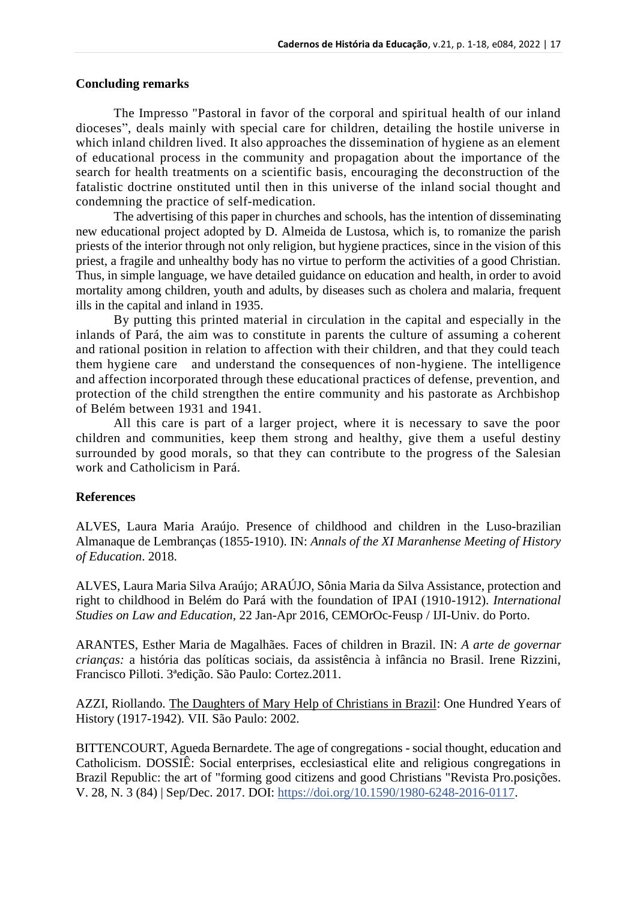#### **Concluding remarks**

The Impresso "Pastoral in favor of the corporal and spiritual health of our inland dioceses", deals mainly with special care for children, detailing the hostile universe in which inland children lived. It also approaches the dissemination of hygiene as an element of educational process in the community and propagation about the importance of the search for health treatments on a scientific basis, encouraging the deconstruction of the fatalistic doctrine onstituted until then in this universe of the inland social thought and condemning the practice of self-medication.

The advertising of this paper in churches and schools, has the intention of disseminating new educational project adopted by D. Almeida de Lustosa, which is, to romanize the parish priests of the interior through not only religion, but hygiene practices, since in the vision of this priest, a fragile and unhealthy body has no virtue to perform the activities of a good Christian. Thus, in simple language, we have detailed guidance on education and health, in order to avoid mortality among children, youth and adults, by diseases such as cholera and malaria, frequent ills in the capital and inland in 1935.

By putting this printed material in circulation in the capital and especially in the inlands of Pará, the aim was to constitute in parents the culture of assuming a coherent and rational position in relation to affection with their children, and that they could teach them hygiene care and understand the consequences of non-hygiene. The intelligence and affection incorporated through these educational practices of defense, prevention, and protection of the child strengthen the entire community and his pastorate as Archbishop of Belém between 1931 and 1941.

All this care is part of a larger project, where it is necessary to save the poor children and communities, keep them strong and healthy, give them a useful destiny surrounded by good morals, so that they can contribute to the progress of the Salesian work and Catholicism in Pará.

### **References**

ALVES, Laura Maria Araújo. Presence of childhood and children in the Luso-brazilian Almanaque de Lembranças (1855-1910). IN: *Annals of the XI Maranhense Meeting of History of Education*. 2018.

ALVES, Laura Maria Silva Araújo; ARAÚJO, Sônia Maria da Silva Assistance, protection and right to childhood in Belém do Pará with the foundation of IPAI (1910-1912). *International Studies on Law and Education*, 22 Jan-Apr 2016, CEMOrOc-Feusp / IJI-Univ. do Porto.

ARANTES, Esther Maria de Magalhães. Faces of children in Brazil. IN: *A arte de governar crianças:* a história das políticas sociais, da assistência à infância no Brasil. Irene Rizzini, Francisco Pilloti. 3ªedição. São Paulo: Cortez.2011.

AZZI, Riollando. The Daughters of Mary Help of Christians in Brazil: One Hundred Years of History (1917-1942). VII. São Paulo: 2002.

BITTENCOURT, Agueda Bernardete. The age of congregations - social thought, education and Catholicism. DOSSIÊ: Social enterprises, ecclesiastical elite and religious congregations in Brazil Republic: the art of "forming good citizens and good Christians "Revista Pro.posições. V. 28, N. 3 (84) | Sep/Dec. 2017. DOI: [https://doi.org/10.1590/1980-6248-2016-0117.](https://doi.org/10.1590/1980-6248-2016-0117)